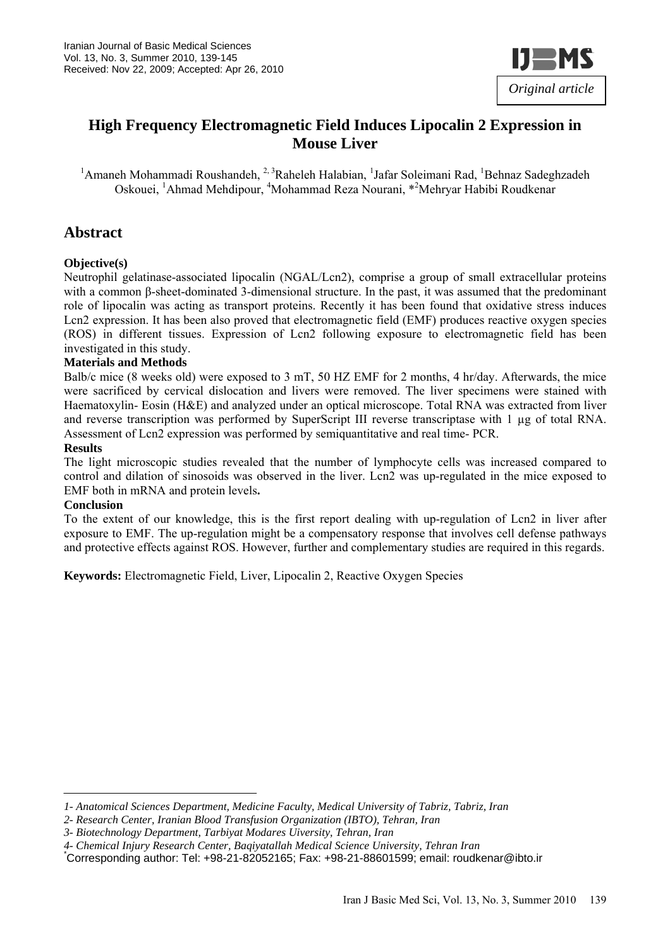

# **High Frequency Electromagnetic Field Induces Lipocalin 2 Expression in Mouse Liver**

<sup>1</sup> Amaneh Mohammadi Roushandeh, <sup>2, 3</sup> Raheleh Halabian, <sup>1</sup> Jafar Soleimani Rad, <sup>1</sup> Behnaz Sadeghzadeh Oskouei, <sup>1</sup>Ahmad Mehdipour, <sup>4</sup>Mohammad Reza Nourani, \*<sup>2</sup>Mehryar Habibi Roudkenar

### **Abstract**

#### **Objective(s)**

Neutrophil gelatinase-associated lipocalin (NGAL/Lcn2), comprise a group of small extracellular proteins with a common β-sheet-dominated 3-dimensional structure. In the past, it was assumed that the predominant role of lipocalin was acting as transport proteins. Recently it has been found that oxidative stress induces Lcn2 expression. It has been also proved that electromagnetic field (EMF) produces reactive oxygen species (ROS) in different tissues. Expression of Lcn2 following exposure to electromagnetic field has been investigated in this study.

#### **Materials and Methods**

Balb/c mice (8 weeks old) were exposed to 3 mT, 50 HZ EMF for 2 months, 4 hr/day. Afterwards, the mice were sacrificed by cervical dislocation and livers were removed. The liver specimens were stained with Haematoxylin- Eosin (H&E) and analyzed under an optical microscope. Total RNA was extracted from liver and reverse transcription was performed by SuperScript III reverse transcriptase with 1 µg of total RNA. Assessment of Lcn2 expression was performed by semiquantitative and real time- PCR.

#### **Results**

The light microscopic studies revealed that the number of lymphocyte cells was increased compared to control and dilation of sinosoids was observed in the liver. Lcn2 was up-regulated in the mice exposed to EMF both in mRNA and protein levels**.** 

#### **Conclusion**

To the extent of our knowledge, this is the first report dealing with up-regulation of Lcn2 in liver after exposure to EMF. The up-regulation might be a compensatory response that involves cell defense pathways and protective effects against ROS. However, further and complementary studies are required in this regards.

**Keywords:** Electromagnetic Field, Liver, Lipocalin 2, Reactive Oxygen Species

*<sup>1-</sup> Anatomical Sciences Department, Medicine Faculty, Medical University of Tabriz, Tabriz, Iran* 

*<sup>2-</sup> Research Center, Iranian Blood Transfusion Organization (IBTO), Tehran, Iran* 

*<sup>3-</sup> Biotechnology Department, Tarbiyat Modares Uiversity, Tehran, Iran* 

*<sup>4-</sup> Chemical Injury Research Center, Baqiyatallah Medical Science University, Tehran Iran* \*

Corresponding author: Tel: +98-21-82052165; Fax: +98-21-88601599; email: roudkenar@ibto.ir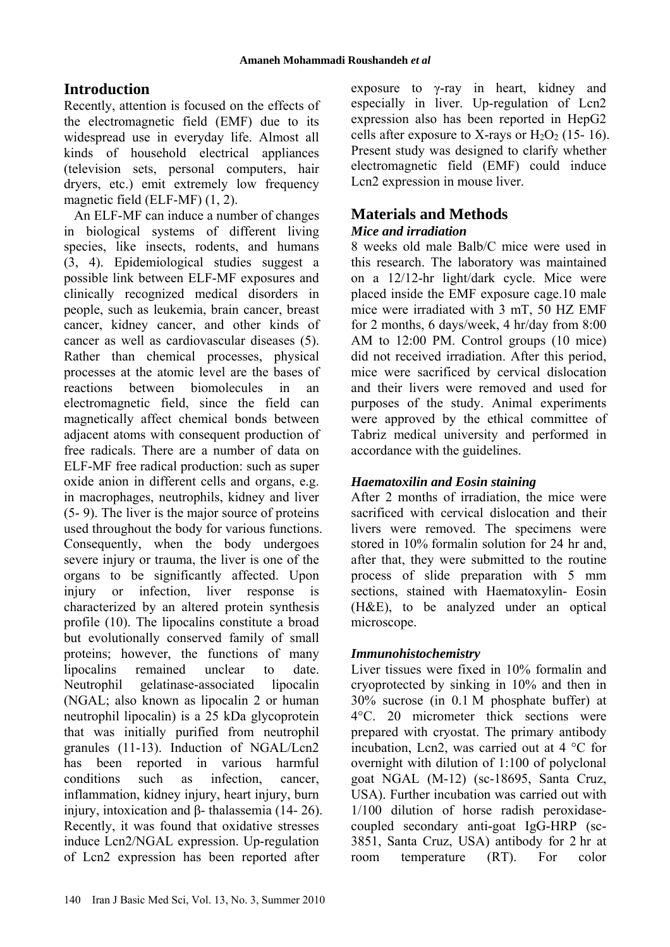# **Introduction**

Recently, attention is focused on the effects of the electromagnetic field (EMF) due to its widespread use in everyday life. Almost all kinds of household electrical appliances (television sets, personal computers, hair dryers, etc.) emit extremely low frequency magnetic field (ELF-MF) (1, 2).

An ELF-MF can induce a number of changes in biological systems of different living species, like insects, rodents, and humans (3, 4). Epidemiological studies suggest a possible link between ELF-MF exposures and clinically recognized medical disorders in people, such as leukemia, brain cancer, breast cancer, kidney cancer, and other kinds of cancer as well as cardiovascular diseases (5). Rather than chemical processes, physical processes at the atomic level are the bases of reactions between biomolecules in an electromagnetic field, since the field can magnetically affect chemical bonds between adjacent atoms with consequent production of free radicals. There are a number of data on ELF-MF free radical production: such as super oxide anion in different cells and organs, e.g. in macrophages, neutrophils, kidney and liver (5- 9). The liver is the major source of proteins used throughout the body for various functions. Consequently, when the body undergoes severe injury or trauma, the liver is one of the organs to be significantly affected. Upon injury or infection, liver response is characterized by an altered protein synthesis profile (10). The lipocalins constitute a broad but evolutionally conserved family of small proteins; however, the functions of many lipocalins remained unclear to date. Neutrophil gelatinase-associated lipocalin (NGAL; also known as lipocalin 2 or human neutrophil lipocalin) is a 25 kDa glycoprotein that was initially purified from neutrophil granules (11-13). Induction of NGAL/Lcn2 has been reported in various harmful conditions such as infection, cancer, inflammation, kidney injury, heart injury, burn injury, intoxication and β- thalassemia (14- 26). Recently, it was found that oxidative stresses induce Lcn2/NGAL expression. Up-regulation of Lcn2 expression has been reported after

exposure to γ-ray in heart, kidney and especially in liver. Up-regulation of Lcn2 expression also has been reported in HepG2 cells after exposure to X-rays or  $H_2O_2$  (15- 16). Present study was designed to clarify whether electromagnetic field (EMF) could induce Lcn2 expression in mouse liver.

# **Materials and Methods**

### *Mice and irradiation*

8 weeks old male Balb/C mice were used in this research. The laboratory was maintained on a 12/12-hr light/dark cycle. Mice were placed inside the EMF exposure cage.10 male mice were irradiated with 3 mT, 50 HZ EMF for 2 months, 6 days/week, 4 hr/day from 8:00 AM to 12:00 PM. Control groups (10 mice) did not received irradiation. After this period, mice were sacrificed by cervical dislocation and their livers were removed and used for purposes of the study. Animal experiments were approved by the ethical committee of Tabriz medical university and performed in accordance with the guidelines.

# *Haematoxilin and Eosin staining*

After 2 months of irradiation, the mice were sacrificed with cervical dislocation and their livers were removed. The specimens were stored in 10% formalin solution for 24 hr and, after that, they were submitted to the routine process of slide preparation with 5 mm sections, stained with Haematoxylin- Eosin (H&E), to be analyzed under an optical microscope.

# *Immunohistochemistry*

Liver tissues were fixed in 10% formalin and cryoprotected by sinking in 10% and then in 30% sucrose (in 0.1 M phosphate buffer) at 4°C. 20 micrometer thick sections were prepared with cryostat. The primary antibody incubation, Lcn2, was carried out at 4 °C for overnight with dilution of 1:100 of polyclonal goat NGAL (M-12) (sc-18695, Santa Cruz, USA). Further incubation was carried out with 1/100 dilution of horse radish peroxidasecoupled secondary anti-goat IgG-HRP (sc-3851, Santa Cruz, USA) antibody for 2 hr at room temperature (RT). For color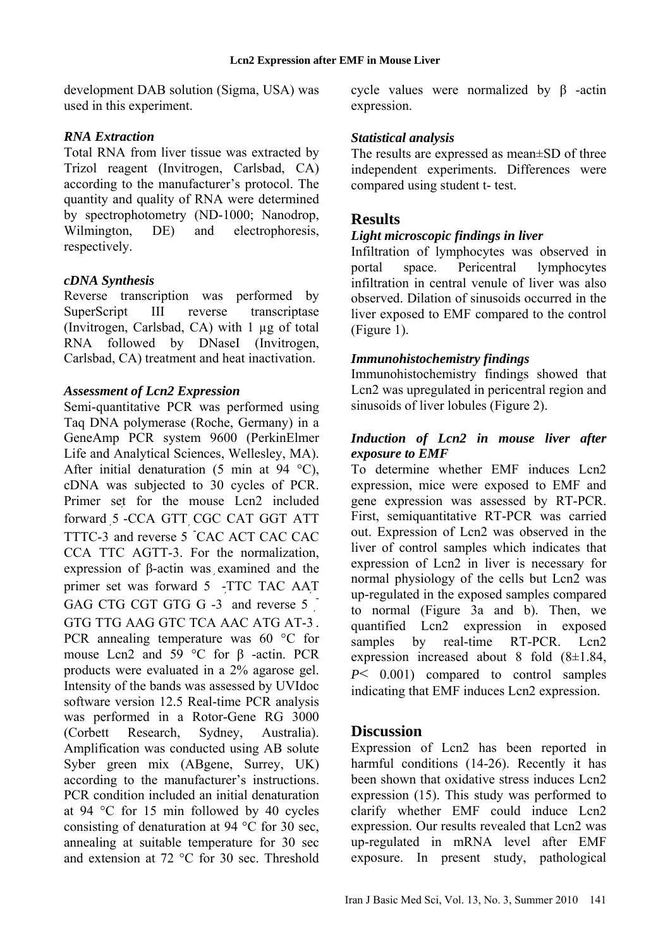development DAB solution (Sigma, USA) was used in this experiment.

#### *RNA Extraction*

Total RNA from liver tissue was extracted by Trizol reagent (Invitrogen, Carlsbad, CA) according to the manufacturer's protocol. The quantity and quality of RNA were determined by spectrophotometry (ND-1000; Nanodrop, Wilmington, DE) and electrophoresis. respectively.

#### *cDNA Synthesis*

Reverse transcription was performed by SuperScript III reverse transcriptase (Invitrogen, Carlsbad, CA) with 1 µg of total RNA followed by DNaseI (Invitrogen, Carlsbad, CA) treatment and heat inactivation.

#### *Assessment of Lcn2 Expression*

Semi-quantitative PCR was performed using Taq DNA polymerase (Roche, Germany) in a GeneAmp PCR system 9600 (PerkinElmer Life and Analytical Sciences, Wellesley, MA). After initial denaturation  $(5 \text{ min at } 94 \text{ °C})$ , cDNA was subjected to 30 cycles of PCR. Primer set for the mouse Lcn2 included forward 5 ́ -CCA GTT CGC CAT GGT ATT TTTC-3 and reverse 5 <sup>-</sup>CAC ACT CAC CAC CCA TTC AGTT-3. For the normalization, expression of β-actin was examined and the primer set was forward 5 -TTC TAC AAT GAG CTG CGT GTG G  $-3$  and reverse 5 GTG TTG AAG GTC TCA AAC ATG AT-3 ́ . PCR annealing temperature was 60 °C for mouse Lcn2 and 59 °C for β -actin. PCR products were evaluated in a 2% agarose gel. Intensity of the bands was assessed by UVIdoc software version 12.5 Real-time PCR analysis was performed in a Rotor-Gene RG 3000 (Corbett Research, Sydney, Australia). Amplification was conducted using AB solute Syber green mix (ABgene, Surrey, UK) according to the manufacturer's instructions. PCR condition included an initial denaturation at 94 °C for 15 min followed by 40 cycles consisting of denaturation at 94 °C for 30 sec, annealing at suitable temperature for 30 sec and extension at 72 °C for 30 sec. Threshold

cycle values were normalized by β -actin expression.

#### *Statistical analysis*

The results are expressed as mean±SD of three independent experiments. Differences were compared using student t- test.

### **Results**

#### *Light microscopic findings in liver*

Infiltration of lymphocytes was observed in portal space. Pericentral lymphocytes infiltration in central venule of liver was also observed. Dilation of sinusoids occurred in the liver exposed to EMF compared to the control (Figure 1).

#### *Immunohistochemistry findings*

Immunohistochemistry findings showed that Lcn2 was upregulated in pericentral region and sinusoids of liver lobules (Figure 2).

### *Induction of Lcn2 in mouse liver after exposure to EMF*

To determine whether EMF induces Lcn2 expression, mice were exposed to EMF and gene expression was assessed by RT-PCR. First, semiquantitative RT-PCR was carried out. Expression of Lcn2 was observed in the liver of control samples which indicates that expression of Lcn2 in liver is necessary for normal physiology of the cells but Lcn2 was up-regulated in the exposed samples compared to normal (Figure 3a and b). Then, we quantified Lcn2 expression in exposed samples by real-time RT-PCR. Lcn2 expression increased about 8 fold (8±1.84, *P*< 0.001) compared to control samples indicating that EMF induces Lcn2 expression.

### **Discussion**

Expression of Lcn2 has been reported in harmful conditions (14-26). Recently it has been shown that oxidative stress induces Lcn2 expression (15). This study was performed to clarify whether EMF could induce Lcn2 expression. Our results revealed that Lcn2 was up-regulated in mRNA level after EMF exposure. In present study, pathological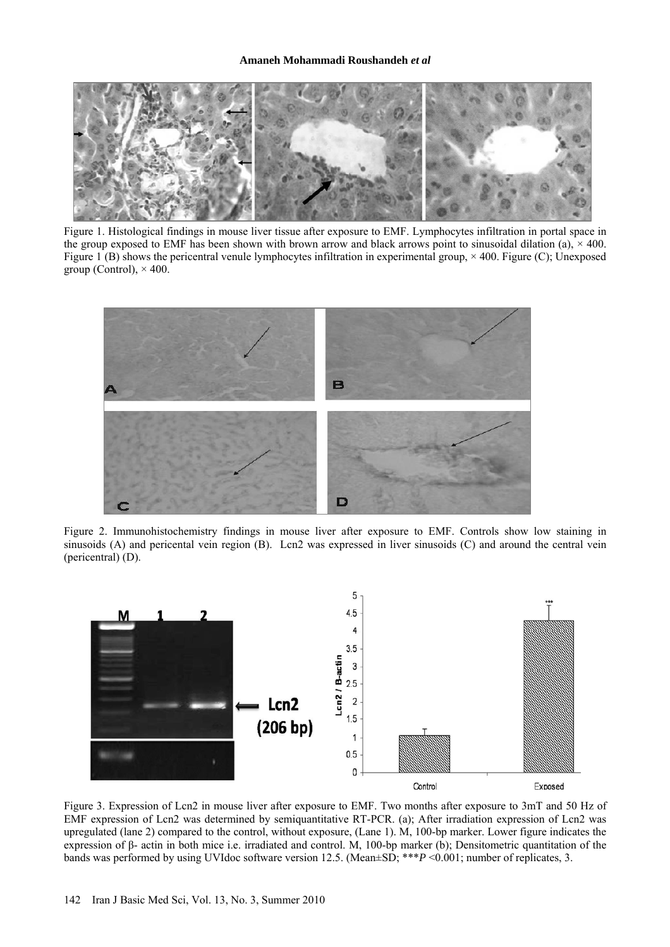

Figure 1. Histological findings in mouse liver tissue after exposure to EMF. Lymphocytes infiltration in portal space in the group exposed to EMF has been shown with brown arrow and black arrows point to sinusoidal dilation (a),  $\times$  400. Figure 1 (B) shows the pericentral venule lymphocytes infiltration in experimental group,  $\times$  400. Figure (C); Unexposed group (Control),  $\times$  400.



Figure 2. Immunohistochemistry findings in mouse liver after exposure to EMF. Controls show low staining in sinusoids (A) and pericental vein region (B). Lcn2 was expressed in liver sinusoids (C) and around the central vein (pericentral) (D).



Figure 3. Expression of Lcn2 in mouse liver after exposure to EMF. Two months after exposure to 3mT and 50 Hz of EMF expression of Lcn2 was determined by semiquantitative RT-PCR. (a); After irradiation expression of Lcn2 was upregulated (lane 2) compared to the control, without exposure, (Lane 1). M, 100-bp marker. Lower figure indicates the expression of β- actin in both mice i.e. irradiated and control. M, 100-bp marker (b); Densitometric quantitation of the bands was performed by using UVIdoc software version 12.5. (Mean±SD; \*\*\**P* <0.001; number of replicates, 3.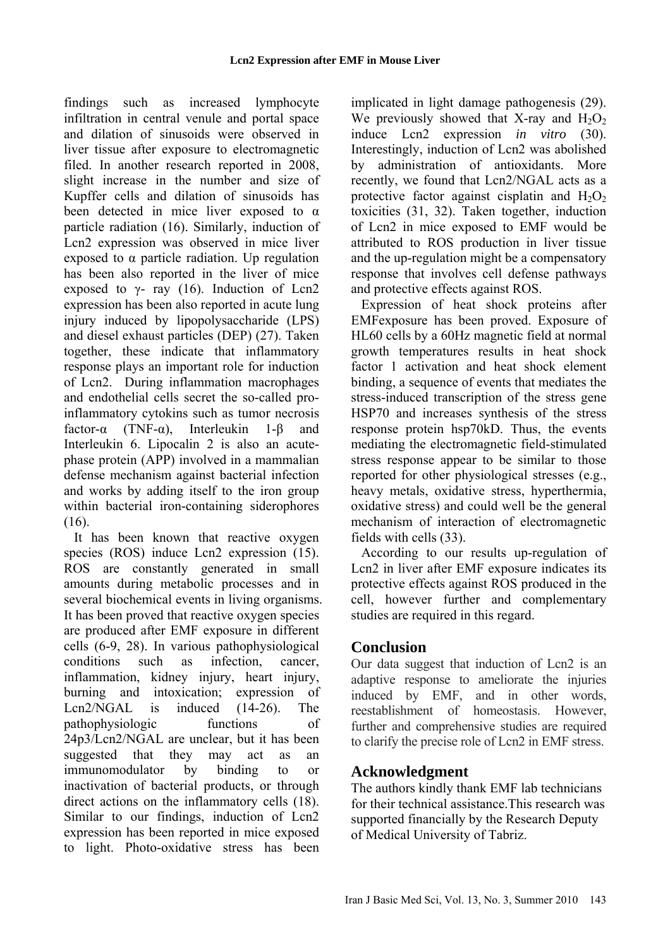findings such as increased lymphocyte infiltration in central venule and portal space and dilation of sinusoids were observed in liver tissue after exposure to electromagnetic filed. In another research reported in 2008, slight increase in the number and size of Kupffer cells and dilation of sinusoids has been detected in mice liver exposed to  $\alpha$ particle radiation (16). Similarly, induction of Lcn2 expression was observed in mice liver exposed to  $\alpha$  particle radiation. Up regulation has been also reported in the liver of mice exposed to  $\gamma$ - ray (16). Induction of Lcn2 expression has been also reported in acute lung injury induced by lipopolysaccharide (LPS) and diesel exhaust particles (DEP) (27). Taken together, these indicate that inflammatory response plays an important role for induction of Lcn2. During inflammation macrophages and endothelial cells secret the so-called proinflammatory cytokins such as tumor necrosis factor-α (TNF-α), Interleukin 1-β and Interleukin 6. Lipocalin 2 is also an acutephase protein (APP) involved in a mammalian defense mechanism against bacterial infection and works by adding itself to the iron group within bacterial iron-containing siderophores (16).

It has been known that reactive oxygen species (ROS) induce Lcn2 expression (15). ROS are constantly generated in small amounts during metabolic processes and in several biochemical events in living organisms. It has been proved that reactive oxygen species are produced after EMF exposure in different cells (6-9, 28). In various pathophysiological conditions such as infection, cancer, inflammation, kidney injury, heart injury, burning and intoxication; expression of Lcn2/NGAL is induced (14-26). The pathophysiologic functions of 24p3/Lcn2/NGAL are unclear, but it has been suggested that they may act as an immunomodulator by binding to or inactivation of bacterial products, or through direct actions on the inflammatory cells (18). Similar to our findings, induction of Lcn2 expression has been reported in mice exposed to light. Photo-oxidative stress has been

implicated in light damage pathogenesis (29). We previously showed that X-ray and  $H_2O_2$ induce Lcn2 expression *in vitro* (30). Interestingly, induction of Lcn2 was abolished by administration of antioxidants. More recently, we found that Lcn2/NGAL acts as a protective factor against cisplatin and  $H_2O_2$ toxicities (31, 32). Taken together, induction of Lcn2 in mice exposed to EMF would be attributed to ROS production in liver tissue and the up-regulation might be a compensatory response that involves cell defense pathways and protective effects against ROS.

Expression of heat shock proteins after EMFexposure has been proved. Exposure of HL60 cells by a 60Hz magnetic field at normal growth temperatures results in heat shock factor 1 activation and heat shock element binding, a sequence of events that mediates the stress-induced transcription of the stress gene HSP70 and increases synthesis of the stress response protein hsp70kD. Thus, the events mediating the electromagnetic field-stimulated stress response appear to be similar to those reported for other physiological stresses (e.g., heavy metals, oxidative stress, hyperthermia, oxidative stress) and could well be the general mechanism of interaction of electromagnetic fields with cells (33).

According to our results up-regulation of Lcn2 in liver after EMF exposure indicates its protective effects against ROS produced in the cell, however further and complementary studies are required in this regard.

# **Conclusion**

Our data suggest that induction of Lcn2 is an adaptive response to ameliorate the injuries induced by EMF, and in other words, reestablishment of homeostasis. However, further and comprehensive studies are required to clarify the precise role of Lcn2 in EMF stress.

# **Acknowledgment**

The authors kindly thank EMF lab technicians for their technical assistance.This research was supported financially by the Research Deputy of Medical University of Tabriz.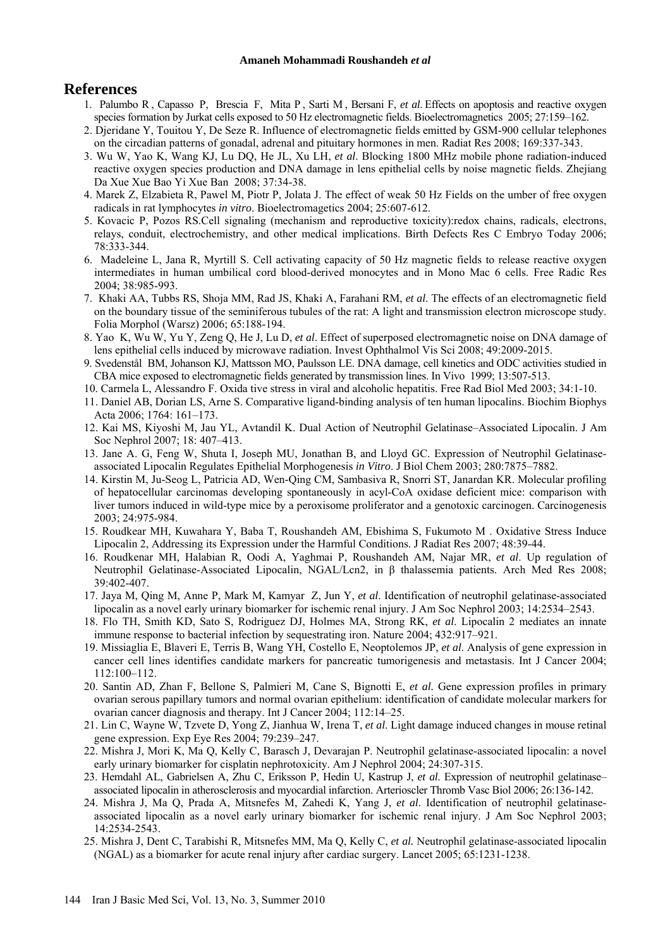### **References**

- 1. Palumbo R , Capasso P, Brescia F, Mita P , Sarti M , Bersani F, *et al*. Effects on apoptosis and reactive oxygen species formation by Jurkat cells exposed to 50 Hz electromagnetic fields. Bioelectromagnetics 2005; 27:159–162.
- 2. Djeridane Y, Touitou Y, De Seze R. Influence of electromagnetic fields emitted by GSM-900 cellular telephones on the circadian patterns of gonadal, adrenal and pituitary hormones in men. Radiat Res 2008; 169:337-343.
- 3. Wu W, Yao K, Wang KJ, Lu DQ, He JL, Xu LH, *et al*. Blocking 1800 MHz mobile phone radiation-induced reactive oxygen species production and DNA damage in lens epithelial cells by noise magnetic fields. Zhejiang Da Xue Xue Bao Yi Xue Ban 2008; 37:34-38.
- 4. Marek Z, Elzabieta R, Pawel M, Piotr P, Jolata J. The effect of weak 50 Hz Fields on the umber of free oxygen radicals in rat lymphocytes *in vitro*. Bioelectromagetics 2004; 25:607-612.
- 5. Kovacic P, Pozos RS.Cell signaling (mechanism and reproductive toxicity):redox chains, radicals, electrons, relays, conduit, electrochemistry, and other medical implications. Birth Defects Res C Embryo Today 2006; 78:333-344.
- 6. Madeleine L, Jana R, Myrtill S. Cell activating capacity of 50 Hz magnetic fields to release reactive oxygen intermediates in human umbilical cord blood-derived monocytes and in Mono Mac 6 cells. Free Radic Res 2004; 38:985-993.
- 7. Khaki AA, Tubbs RS, Shoja MM, Rad JS, Khaki A, Farahani RM, *et al*. The effects of an electromagnetic field on the boundary tissue of the seminiferous tubules of the rat: A light and transmission electron microscope study. Folia Morphol (Warsz) 2006; 65:188-194.
- 8. Yao K, Wu W, Yu Y, Zeng Q, He J, Lu D, *et al*. Effect of superposed electromagnetic noise on DNA damage of lens epithelial cells induced by microwave radiation. Invest Ophthalmol Vis Sci 2008; 49:2009-2015.
- 9. Svedenstål BM, Johanson KJ, Mattsson MO, Paulsson LE. DNA damage, cell kinetics and ODC activities studied in CBA mice exposed to electromagnetic fields generated by transmission lines. In Vivo 1999; 13:507-513.
- 10. Carmela L, Alessandro F. Oxida tive stress in viral and alcoholic hepatitis. Free Rad Biol Med 2003; 34:1-10.
- 11. Daniel AB, Dorian LS, Arne S. Comparative ligand-binding analysis of ten human lipocalins. Biochim Biophys Acta 2006; 1764: 161–173.
- 12. Kai MS, Kiyoshi M, Jau YL, Avtandil K. Dual Action of Neutrophil Gelatinase–Associated Lipocalin. J Am Soc Nephrol 2007; 18: 407–413.
- 13. Jane A. G, Feng W, Shuta I, Joseph MU, Jonathan B, and Lloyd GC. Expression of Neutrophil Gelatinaseassociated Lipocalin Regulates Epithelial Morphogenesis *in Vitro*. J Biol Chem 2003; 280:7875–7882.
- 14. Kirstin M, Ju-Seog L, Patricia AD, Wen-Qing CM, Sambasiva R, Snorri ST, Janardan KR. Molecular profiling of hepatocellular carcinomas developing spontaneously in acyl-CoA oxidase deficient mice: comparison with liver tumors induced in wild-type mice by a peroxisome proliferator and a genotoxic carcinogen. Carcinogenesis 2003; 24:975-984.
- 15. Roudkear MH, Kuwahara Y, Baba T, Roushandeh AM, Ebishima S, Fukumoto M . Oxidative Stress Induce Lipocalin 2, Addressing its Expression under the Harmful Conditions. J Radiat Res 2007; 48:39-44.
- 16. Roudkenar MH, Halabian R, Oodi A, Yaghmai P, Roushandeh AM, Najar MR, *et al*. Up regulation of Neutrophil Gelatinase-Associated Lipocalin, NGAL/Lcn2, in β thalassemia patients. Arch Med Res 2008; 39:402-407.
- 17. Jaya M, Qing M, Anne P, Mark M, Kamyar Z, Jun Y, *et al*. Identification of neutrophil gelatinase-associated lipocalin as a novel early urinary biomarker for ischemic renal injury. J Am Soc Nephrol 2003; 14:2534–2543.
- 18. Flo TH, Smith KD, Sato S, Rodriguez DJ, Holmes MA, Strong RK, *et al*. Lipocalin 2 mediates an innate immune response to bacterial infection by sequestrating iron. Nature 2004; 432:917–921.
- 19. Missiaglia E, Blaveri E, Terris B, Wang YH, Costello E, Neoptolemos JP, *et al*. Analysis of gene expression in cancer cell lines identifies candidate markers for pancreatic tumorigenesis and metastasis. Int J Cancer 2004; 112:100–112.
- 20. Santin AD, Zhan F, Bellone S, Palmieri M, Cane S, Bignotti E, *et al.* Gene expression profiles in primary ovarian serous papillary tumors and normal ovarian epithelium: identification of candidate molecular markers for ovarian cancer diagnosis and therapy. Int J Cancer 2004; 112:14–25.
- 21. Lin C, Wayne W, Tzvete D, Yong Z, Jianhua W, Irena T, *et al*. Light damage induced changes in mouse retinal gene expression. Exp Eye Res 2004; 79:239–247.
- 22. Mishra J, Mori K, Ma Q, Kelly C, Barasch J, Devarajan P. Neutrophil gelatinase-associated lipocalin: a novel early urinary biomarker for cisplatin nephrotoxicity. Am J Nephrol 2004; 24:307-315.
- 23. Hemdahl AL, Gabrielsen A, Zhu C, Eriksson P, Hedin U, Kastrup J, *et al*. Expression of neutrophil gelatinase– associated lipocalin in atherosclerosis and myocardial infarction. Arterioscler Thromb Vasc Biol 2006; 26:136-142.
- 24. Mishra J, Ma Q, Prada A, Mitsnefes M, Zahedi K, Yang J, *et al*. Identification of neutrophil gelatinaseassociated lipocalin as a novel early urinary biomarker for ischemic renal injury. J Am Soc Nephrol 2003; 14:2534-2543.
- 25. Mishra J, Dent C, Tarabishi R, Mitsnefes MM, Ma Q, Kelly C, *et al.* Neutrophil gelatinase-associated lipocalin (NGAL) as a biomarker for acute renal injury after cardiac surgery. Lancet 2005; 65:1231-1238.